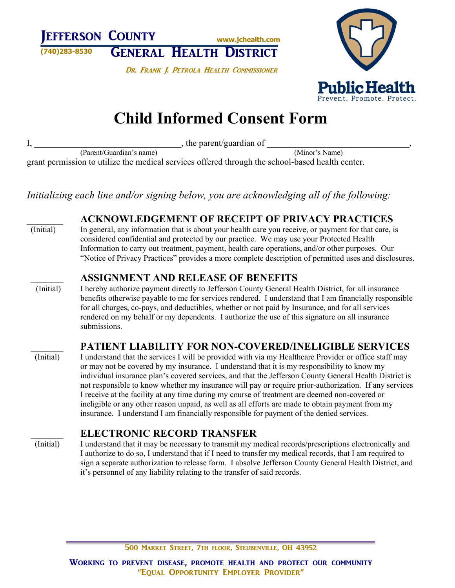J\_ff\_rson County **www.jchealth.com**

**(740)283-8530 GENERAL HEALTH DISTRICT** 

DR. FRANK J. PETROLA HEALTH COMMISSIONER



# **Child Informed Consent Form**

I, \_\_\_\_\_\_\_\_\_\_\_\_\_\_\_\_\_\_\_\_\_\_\_\_\_\_\_\_\_\_\_\_\_, the parent/guardian of \_\_\_\_\_\_\_\_\_\_\_\_\_\_\_\_\_\_\_\_\_\_\_\_\_\_\_\_\_\_\_\_, (Parent/Guardian's name) (Minor's Name) grant permission to utilize the medical services offered through the school-based health center.

*Initializing each line and/or signing below, you are acknowledging all of the following:*

### \_\_\_\_\_\_\_ **ACKNOWLEDGEMENT OF RECEIPT OF PRIVACY PRACTICES**

(Initial) In general, any information that is about your health care you receive, or payment for that care, is considered confidential and protected by our practice. We may use your Protected Health Information to carry out treatment, payment, health care operations, and/or other purposes. Our "Notice of Privacy Practices" provides a more complete description of permitted uses and disclosures.

**ASSIGNMENT AND RELEASE OF BENEFITS**<br>(Initial) I hereby authorize payment directly to Jefferson County General Health District, for all insurance benefits otherwise payable to me for services rendered. I understand that I am financially responsible for all charges, co-pays, and deductibles, whether or not paid by Insurance, and for all services rendered on my behalf or my dependents. I authorize the use of this signature on all insurance submissions.

## \_\_\_\_\_\_\_\_ **PATIENT LIABILITY FOR NON-COVERED/INELIGIBLE SERVICES**

 (Initial) I understand that the services I will be provided with via my Healthcare Provider or office staff may or may not be covered by my insurance. I understand that it is my responsibility to know my individual insurance plan's covered services, and that the Jefferson County General Health District is not responsible to know whether my insurance will pay or require prior-authorization. If any services I receive at the facility at any time during my course of treatment are deemed non-covered or ineligible or any other reason unpaid, as well as all efforts are made to obtain payment from my insurance. I understand I am financially responsible for payment of the denied services.

#### \_\_\_\_\_\_\_\_ **ELECTRONIC RECORD TRANSFER**

 (Initial) I understand that it may be necessary to transmit my medical records/prescriptions electronically and I authorize to do so, I understand that if I need to transfer my medical records, that I am required to sign a separate authorization to release form. I absolve Jefferson County General Health District, and it's personnel of any liability relating to the transfer of said records.

500 MARKET STREET, 7TH FLOOR, STEUBENVILLE, OH 43952

WORKING TO PREVENT DISEASE, PROMOTE HEALTH AND PROTECT OUR COMMUNITY "EQUAL OPPORTUNITY EMPLOYER PROVIDER"